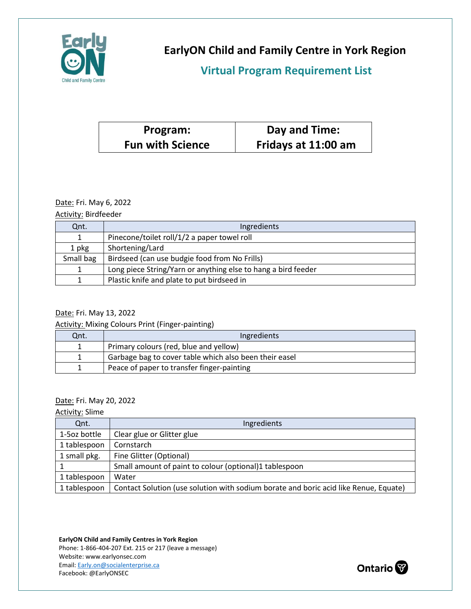

**EarlyON Child and Family Centre in York Region**

# **Virtual Program Requirement List**

| Program:                | Day and Time:       |
|-------------------------|---------------------|
| <b>Fun with Science</b> | Fridays at 11:00 am |

### Date: Fri. May 6, 2022

Activity: Birdfeeder

| Qnt.      | Ingredients                                                   |
|-----------|---------------------------------------------------------------|
|           | Pinecone/toilet roll/1/2 a paper towel roll                   |
| 1 pkg     | Shortening/Lard                                               |
| Small bag | Birdseed (can use budgie food from No Frills)                 |
|           | Long piece String/Yarn or anything else to hang a bird feeder |
|           | Plastic knife and plate to put birdseed in                    |

### Date: Fri. May 13, 2022

Activity: Mixing Colours Print (Finger-painting)

| Qnt. | Ingredients                                            |
|------|--------------------------------------------------------|
|      | Primary colours (red, blue and yellow)                 |
|      | Garbage bag to cover table which also been their easel |
|      | Peace of paper to transfer finger-painting             |

### Date: Fri. May 20, 2022

Activity: Slime

| Qnt.         | Ingredients                                                                          |
|--------------|--------------------------------------------------------------------------------------|
| 1-5oz bottle | Clear glue or Glitter glue                                                           |
| 1 tablespoon | Cornstarch                                                                           |
| 1 small pkg. | Fine Glitter (Optional)                                                              |
|              | Small amount of paint to colour (optional)1 tablespoon                               |
| 1 tablespoon | Water                                                                                |
| 1 tablespoon | Contact Solution (use solution with sodium borate and boric acid like Renue, Equate) |

**EarlyON Child and Family Centres in York Region**

Phone: 1-866-404-207 Ext. 215 or 217 (leave a message) Website: www.earlyonsec.com Email[: Early.on@socialenterprise.ca](mailto:Early.on@socialenterprise.ca) Facebook: @EarlyONSEC